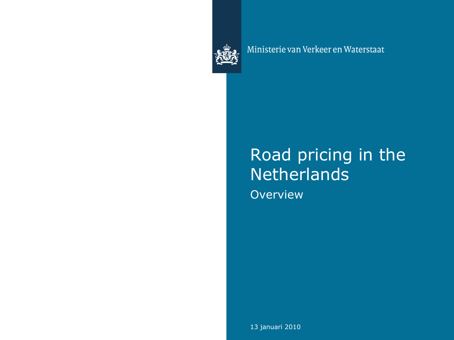

Ministerie van Verkeer en Waterstaat

## Road pricing in the **Netherlands Overview**

13 januari 2010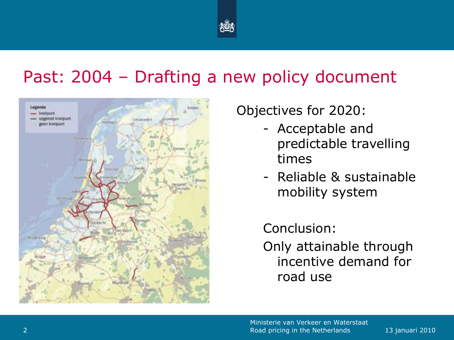

## Past: 2004 – Drafting a new policy document



Objectives for 2020:

- Acceptable and predictable travelling times
- Reliable & sustainable mobility system

Conclusion:

Only attainable through incentive demand for road use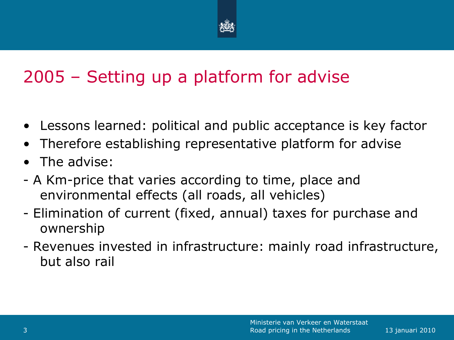

# 2005 – Setting up a platform for advise

- Lessons learned: political and public acceptance is key factor
- Therefore establishing representative platform for advise
- The advise:
- A Km-price that varies according to time, place and environmental effects (all roads, all vehicles)
- Elimination of current (fixed, annual) taxes for purchase and ownership
- Revenues invested in infrastructure: mainly road infrastructure, but also rail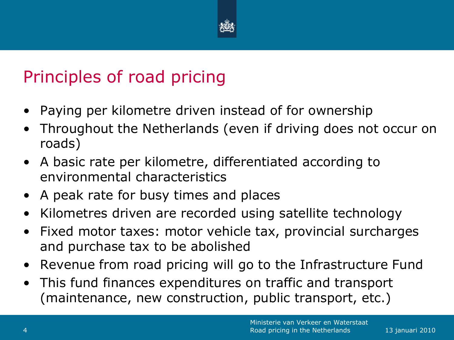

# Principles of road pricing

- Paying per kilometre driven instead of for ownership
- Throughout the Netherlands (even if driving does not occur on roads)
- A basic rate per kilometre, differentiated according to environmental characteristics
- A peak rate for busy times and places
- Kilometres driven are recorded using satellite technology
- Fixed motor taxes: motor vehicle tax, provincial surcharges and purchase tax to be abolished
- Revenue from road pricing will go to the Infrastructure Fund
- This fund finances expenditures on traffic and transport (maintenance, new construction, public transport, etc.)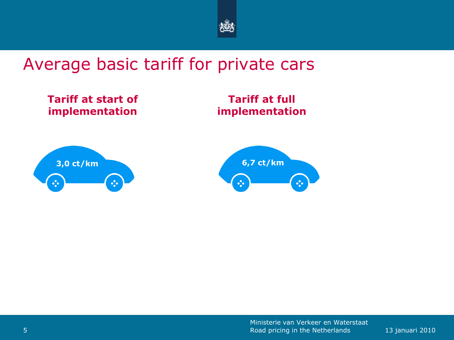

#### Average basic tariff for private cars

**Tariff at start of implementation**

**Tariff at full implementation**



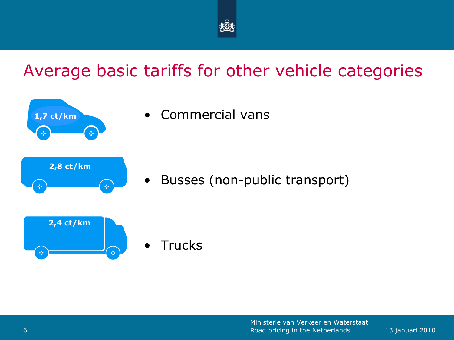

## Average basic tariffs for other vehicle categories



• Commercial vans

• Busses (non-public transport)



**Trucks**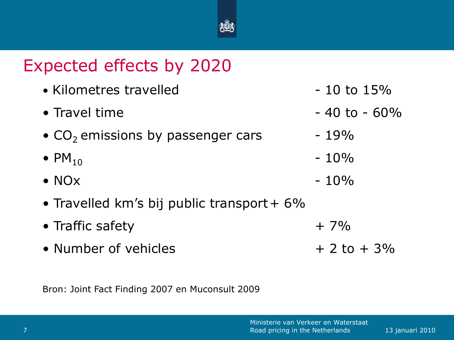

## Expected effects by 2020

- Kilometres travelled  $-10$  to  $15\%$
- Travel time  $-40$  to  $-60\%$
- $CO<sub>2</sub>$  emissions by passenger cars  $-19\%$
- $PM_{10}$  10%
- NO $\times$  10%
- Travelled km's bij public transport +  $6\%$
- Traffic safety  $+7\%$
- Number of vehicles  $+ 2$  to  $+ 3\%$

Bron: Joint Fact Finding 2007 en Muconsult 2009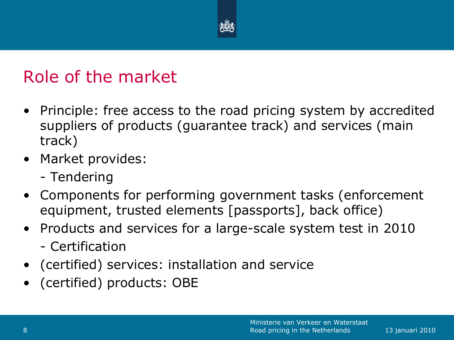

## Role of the market

- Principle: free access to the road pricing system by accredited suppliers of products (guarantee track) and services (main track)
- Market provides:
	- Tendering
- Components for performing government tasks (enforcement equipment, trusted elements [passports], back office)
- Products and services for a large-scale system test in 2010
	- Certification
- (certified) services: installation and service
- (certified) products: OBE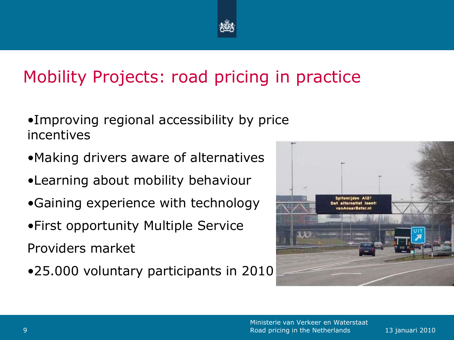

# Mobility Projects: road pricing in practice

- •Improving regional accessibility by price incentives
- •Making drivers aware of alternatives
- •Learning about mobility behaviour
- •Gaining experience with technology
- •First opportunity Multiple Service

Providers market

•25.000 voluntary participants in 2010